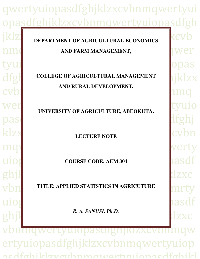# qwertyuiopasdfghjklzxcvbnmqwertyui sdfghjklzxcvbnmqwertyuiopasdfgh

# **Fig. 7** DEPARTMENT OF AGRICULTURAL ECONOMICS **EXACTE** nm<sub>q</sub>wertyuiden and farm management,

# dfg<sub>l</sub> college of agricultural Management |iklzx cvb **AND RURAL DEVELOPMENT,**

Wert UNIVERSITY OF AGRICULTURE, ABEOKUTA. **Latinum** 

klzx**i berturtyuiopassa klassificasist viewertyliste klassificasist viewertyliste klassification LECTURE NOTE** 

uiopasdf **COURSE CODE: AEM 304** 

ghj $\lfloor$ Vbn**matics: APPLIED STATISTICS IN AGRICUTURE** uiophasdf ghjl<br>ghjl vbnmqwertyuiopasdfghjklzxcvbnmqw ertyuiopasdfghjklzxcvbnmqwertyuiop acdfahildzvarhnmawartwuionacdfahild *R. A. SANUSI. Ph.D.*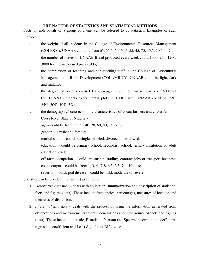#### **THE NATURE OF STATISTICS AND STATISTICAL METHODS**

Facts on individuals or a group or a unit can be referred to as statistics. Examples of such include:

- i. the weight of all students in the College of Environmental Resources Management (COLERM), UNAAB could be from 65, 65.5, 60, 60.5, 55, 45, 75, 45.5, 70.5, to 70;
- ii. the number of loaves of UNAAB Bread produced every week could 1000, 950, 1200, 3000 for the weeks in April (2011);
- iii. the complexion of teaching and non-teaching staff in the College of Agricultural Management and Rural Development (COLAMRUD), UNAAB could be light, dark and mulatto;
- iv. the degree of lesions caused by *Cescospora spp*. on maize leaves of 500level COLPLANT Students experimental plots in T&R Farm, UNAAB could be 15%, 25%, 30%, 10%, 5%;
- v. the demographic/socio-economic characteristics of cocoa farmers and cocoa farms in Cross River State of Nigeria:-

age – could be from 55, 35, 40, 70, 60, 80, 25 to 30;

gender – is male and female;

marital status – could be single, married, divorced or widowed;

education – could be primary school, secondary school, tertiary institution or adult education level;

off-farm occupation – could artisanship, trading, contract jobs or transport business; cocoa output – could be from 1, 3, 4, 5, 8, 6.5, 2.5, 7 to 10 tons;

severity of black pod disease – could be mild, moderate or severe.

Statistics can be divided into two (2) as follows:

- 1. *Descriptive Statistics* deals with collection, summarization and description of statistical facts and figures (data). These include frequencies, percentages, measures of location and measures of dispersion.
- 2. *Inferential Statistics* deals with the process of using the information generated from observations and measurements to draw conclusions about the source of facts and figures (data). These include t-statistic, F-statistic, Pearson and Spearman correlation coefficient, regression coefficient and Least Significant Difference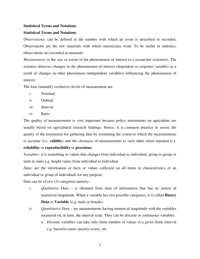#### **Statistical Terms and Notations**

#### **Statistical Terms and Notations**

*Observations*: can be defined as the number with which an event is described or recorded. Observations are the raw materials with which statisticians work. To be useful in statistics, observations are recorded in numerals.

*Measurement*: is the size or extent of the phenomenon of interest to a researcher (scientist). The scientist observes changes in the phenomenon of interest (dependent or response variable) as a result of changes in other phenomena (independent variables) influencing the phenomenon of interest.

The four (mutually exclusive) levels of measurement are:

- i. Nominal
- ii. Ordinal
- iii. Interval
- iv. Ratio

The quality of measurements is very important because policy instruments on agriculture are usually based on agricultural research findings. Hence, it is common practice to assess the quality of the instrument for gathering data by estimating the extent to which the measurements is accurate (i.e. **validity**) and the closeness of measurements to each other when repeated (i.e. **reliability** or **reproducibility** or **precision**).

*Variables*: it is something or values that changes from individual to individual, group to group or units to units e.g. height varies from individual to individual.

*Data*: are the information or facts or values collected on all items or characteristics of an individual or group of individuals for any purpose.

Data can be of two (2) categories namely:-

- i. *Qualitative Data* is obtained from item of information that has no notion of numerical magnitude. When a variable has two possible categories, it is called **Binary Data** or **Variable** (e.g. male or female).
- ii. *Quantitative Data* are measurements having numerical magnitude with the variables measured on, at least, the interval scale. They can be discrete or continuous variables.
	- a. Discrete variables can take only finite number of values in a given finite interval e.g. bacteria count, anxiety scores, etc.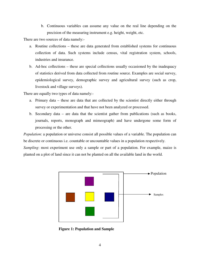b. Continuous variables can assume any value on the real line depending on the precision of the measuring instrument e.g. height, weight, etc.

There are two sources of data namely:-

- a. Routine collections these are data generated from established systems for continuous collection of data. Such systems include census, vital registration system, schools, industries and insurance.
- b. Ad-hoc collections these are special collections usually occasioned by the inadequacy of statistics derived from data collected from routine source. Examples are social survey, epidemiological survey, demographic survey and agricultural survey (such as crop, livestock and village surveys).

There are equally two types of data namely:-

- a. Primary data these are data that are collected by the scientist directly either through survey or experimentation and that have not been analyzed or processed.
- b. Secondary data are data that the scientist gather from publications (such as books, journals, reports, monograph and mimeograph) and have undergone some form of processing or the other.

*Population*: a population or universe consist all possible values of a variable. The population can be discrete or continuous i.e. countable or uncountable values in a population respectively.

*Sampling*: most experiment use only a sample or part of a population. For example, maize is planted on a plot of land since it can not be planted on all the available land in the world.



**Figure 1: Population and Sample**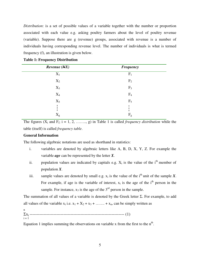*Distribution*: is a set of possible values of a variable together with the number or proportion associated with each value e.g. asking poultry farmers about the level of poultry revenue (variable). Suppose there are g (revenue) groups, associated with revenue is a number of individuals having corresponding revenue level. The number of individuals is what is termed frequency (f), an illustration is given below.

| Revenue (NX) | <b>Frequency</b> |
|--------------|------------------|
| $X_1$        | $F_1$            |
| $X_2$        | F <sub>2</sub>   |
| $X_3$        | F <sub>3</sub>   |
| $X_4$        | F <sub>4</sub>   |
| $X_5$        | $F_5$            |
|              |                  |
| $X_g$        | $\rm F_g$        |

**Table 1: Frequency Distribution** 

The figures  $(X_i$  and  $F_i$ ;  $i = 1, 2, \ldots, g)$  in Table 1 is called *frequency distribution* while the table (itself) is called *frequency table*.

#### **General Information**

The following algebraic notations are used as shorthand in statistics:

- i. variables are denoted by algebraic letters like A, B, D, X, Y, Z. For example the variable *age* can be represented by the letter *X*.
- ii. population values are indicated by capitals e.g.  $X_i$  is the value of the i<sup>th</sup> member of population *X*.
- iii. sample values are denoted by small e.g.  $x_i$  is the value of the i<sup>th</sup> unit of the sample *X*. For example, if age is the variable of interest,  $x_i$  is the age of the i<sup>th</sup> person in the sample. For instance,  $x_3$  is the age of the  $3<sup>rd</sup>$  person in the sample.

The summation of all values of a variable is denoted by the Greek letter  $\Sigma$ . For example, to add all values of the variable  $x_i$  i.e.  $x_1 + X_2 + x_3 + \ldots + x_n$ , can be simply written as

n Σxi ------------------------------------------------------------------- (1)  $i = 1$ 

Equation 1 implies summing the observations on variable x from the first to the  $n<sup>th</sup>$ .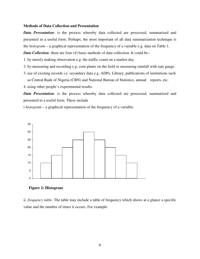#### **Methods of Data Collection and Presentation**

*Data Presentation*: is the process whereby data collected are processed, summarized and presented in a useful form. Perhaps, the most important of all data summarization technique is the *histogram* – a graphical representation of the frequency of a variable e.g. data on Table 1.

*Data Collection*: there are four (4) basic methods of data collection. It could be:-

1. by merely making observation e.g. the traffic count on a market day.

- 2. by measuring and recording e.g. corn plants on the field or measuring rainfall with rain gauge.
- 3. use of existing records i.e. secondary data e.g. ADPs, Library, publications of institutions such as Central Bank of Nigeria (CBN) and National Bureau of Statistics, annual reports, etc.

4. using other people's experimental results.

*Data Presentation*: is the process whereby data collected are processed, summarized and presented in a useful form. These include

i *histogram* – a graphical representation of the frequency of a variable.





ii. *frequency table*. The table may include a table of frequency which shows at a glance a specific value and the number of times it occurs. For example: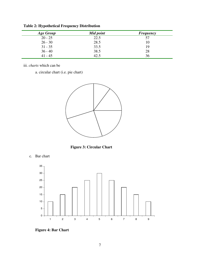| Age Group | Mid point | <b>Frequency</b> |
|-----------|-----------|------------------|
| $20 - 25$ | 22.5      | 57               |
| $26 - 30$ | 28.5      | 10               |
| $31 - 35$ | 33.5      | 19               |
| $36 - 40$ | 38.5      | 28               |
| $41 - 45$ | 42.5      | 36               |

**Table 2: Hypothetical Frequency Distribution** 

iii. *charts* which can be

a. circular chart (i.e. pie chart)



**Figure 3: Circular Chart** 





**Figure 4: Bar Chart**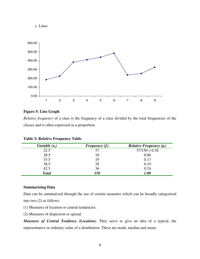



# **Figure 5: Line Graph**

*Relative frequency* of a class is the frequency of a class divided by the total frequencies of the classes and is often expressed as a proportion.

| Variable $(x_i)$ | Frequency $(f_i)$ | <i>Relative Frequency</i> $(p_i)$ |
|------------------|-------------------|-----------------------------------|
| 22.5             | 57                | $57/150 = 0.38$                   |
| 28.5             | 10                | 0.06                              |
| 33.5             | 19                | 0.13                              |
| 38.5             | 28                | 0.19                              |
| 42.5             | 36                | 0.24                              |
| <b>Total</b>     | <i>150</i>        | 1.00                              |

#### **Table 3: Relative Frequency Table**

#### **Summarizing Data**

Data can be summarized through the use of certain measures which can be broadly categorized into two (2) as follows:

(1) Measures of location or central tendencies;

(2) Measures of dispersion or spread.

*Measures of Central Tendency (Location)*: They serve to give an idea of a typical, the representative or ordinary value of a distribution. These are mode, median and mean.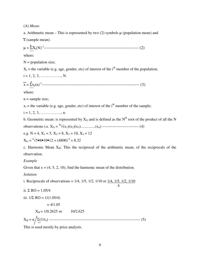(A) *Mean*:

a. Arithmetic mean – This is represented by two  $(2)$  symbols  $\mu$  (population mean) and

 $\overline{x}$  (sample mean).

N µ = ΣX<sup>i</sup> (N)-1 ------------------------------------------------------------------- (2) i = 1

where:

 $N =$  population size;

 $X_i$  = the variable (e.g. age, gender, etc) of interest of the i<sup>th</sup> member of the population;

 $i = 1, 2, 3, \ldots, N.$ 

n x = Σx<sup>i</sup> (n)-1 --------------------------------------------------------------------- (3) i = 1

where:

 $n =$ sample size;

 $x_i$  = the variable (e.g. age, gender, etc) of interest of the i<sup>th</sup> member of the sample;

$$
i = 1, 2, 3, \ldots, n.
$$

b. Geometric mean: is represented by  $X_G$  and is defined as the N<sup>th</sup> root of the product of all the N observations i.e. XG = N √(x1)(x2)(x3)...............(xn) ---------------------------- (4)

e.g. N = 4, 
$$
X_1 = 5
$$
,  $X_2 = 8$ ,  $X_3 = 10$ ,  $X_4 = 12$ 

$$
X_G = \sqrt[4]{5} \cdot 8 \cdot 10 \cdot 12 = (4800)^{-4} = 8.32
$$

c. Harmonic Mean  $X_H$ : This the reciprocal of the arithmetic mean, of the reciprocals of the observation.

#### *Example*

Given that  $x = (4, 5, 2, 10)$ , find the harmonic mean of the distribution.

*Solution* 

i. Reciprocals of observations =  $1/4$ ,  $1/5$ ,  $1/2$ ,  $1/10$  or  $1/4$ ,  $1/5$ ,  $1/2$ ,  $1/10$ 4

ii. Σ RO =  $1.05/4$ 

iii.  $1/\Sigma$  RO =  $1/(1.05/4)$ 

 $= 4/1.05$ 

 $X_H = 1/0.2625$  or  $10/2.625$ 

 <sup>n</sup> XH = n Σ(1/xi) ---------------------------------------------------------------------- (5) i=1

This is used mostly by price analysts.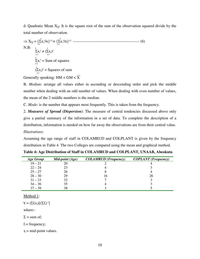d. Quadratic Mean  $X_0$ : It is the square root of the sum of the observation squared divide by the total number of observation.

 n n ⇒ XQ = {Σx<sup>i</sup> 2 /n}1/2 ≡ {Σx<sup>i</sup> 2 /n}1/2 --------------------------------------------------- (6) i=1 i=1 N.B: <sup>n</sup> <sup>n</sup> Σx<sup>i</sup> <sup>2</sup> ≠ (Σxi) 2 i=1 i=1 n Σx<sup>i</sup> 2 = Sum of squares i=1 <sup>n</sup> (Σxi) 2 = Squares of sum i=1

Generally speaking: HM < GM <  $\overline{X}$ 

B. *Median*: arrange all values either in ascending or descending order and pick the middle number when dealing with an odd number of values. When dealing with even number of values, the mean of the 2 middle numbers is the median.

C. *Mode*: is the number that appears most frequently. This is taken from the frequency.

2. *Measures of Spread (Dispersion)*: The measure of central tendencies discussed above only give a partial summary of the information in a set of data. To complete the description of a distribution, information is needed on how far away the observations are from their central value. *Illustrations*:

Assuming the age range of staff in COLAMRUD and COLPLANT is given by the frequency distribution in Table 4. The two Colleges are compared using the mean and graphical method.

| Age Group | Mid-point (Age) | <b>COLAMRUD</b> (Frequency) | <b>COPLANT</b> (Frequency) |
|-----------|-----------------|-----------------------------|----------------------------|
| $19 - 21$ | 20              |                             |                            |
| $22 - 24$ | 23              |                             |                            |
| $25 - 27$ | 26              |                             |                            |
| $28 - 30$ | 29              |                             | 26                         |
| $31 - 33$ | 32              |                             |                            |
| $34 - 36$ | 35              |                             |                            |
| $37 - 39$ | 38              |                             |                            |

**Table 4: Age Distribution of Staff in COLAMRUD and COLPLANT, UNAAB, Abeokuta** 

Method 1:

 $\overline{\mathbf{x}} = (\Sigma f_i \mathbf{x}_i) [(\Sigma f_i)^{-1}]$ 

where:-

 $\Sigma$  = sum of;

 $f_i$  = frequency;

 $x_i$  = mid-point values.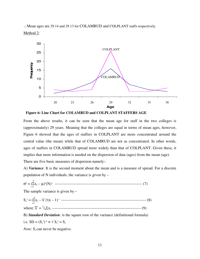∴Mean ages are 29.14 and 29.13 for COLAMRUD and COLPLANT staffs respectively. Method 2:



**Figure 6: Line Chart for COLAMRUD and COLPLANT STAFFERS AGE** 

From the above results, it can be seen that the mean age for staff in the two colleges is (approximately) 29 years. Meaning that the colleges are equal in terms of mean ages, however, Figure 6 showed that the ages of staffers in COLPLANT are more concentrated around the central value (the mean) while that of COLAMRUD are not as concentrated. In other words, ages of staffers in COLAMRUD spread more widely than that of COLPLANT. Given these, it implies that more information is needed on the dispersion of data (ages) from the mean (age). There are five basic measures of dispersion namely:-

A) *Variance*: It is the second moment about the mean and is a measure of spread. For a discrete population of N individuals, the variance is given by –

$$
\sigma^2=(\overset{\scriptscriptstyle{N}}{\underset{\scriptscriptstyle{i=1}}{\sum}}x_{_{i\text{i}}}-\mu)^2(N)^{\scriptscriptstyle{-1}}\,\,\,{}^{\scriptscriptstyle{-1}}\,\,\,{}^{\scriptscriptstyle{-2}}\,\,{}^{\scriptscriptstyle{-2}}\,\,{}^{\scriptscriptstyle{-2}}\,\,{}^{\scriptscriptstyle{2}}\,\,{}^{\scriptscriptstyle{3}}\,\,{}^{\scriptscriptstyle{3}}\,\,{}^{\scriptscriptstyle{4}}\,\,{}^{\scriptscriptstyle{5}}\,\,{}^{\scriptscriptstyle{6}}\,\,{}^{\scriptscriptstyle{7}}\,\,{}^{\scriptscriptstyle{8}}\,\,{}^{\scriptscriptstyle{9}}\,\,{}^{\scriptscriptstyle{1}}\,\,{}^{\scriptscriptstyle{8}}\,\,{}^{\scriptscriptstyle{9}}\,\,{}^{\scriptscriptstyle{1}}\,\,{}^{\scriptscriptstyle{1}}\,\,{}^{\scriptscriptstyle{1}}\,\,{}^{\scriptscriptstyle{1}}\,\,{}^{\scriptscriptstyle{1}}\,\,{}^{\scriptscriptstyle{1}}\,\,{}^{\scriptscriptstyle{1}}\,\,{}^{\scriptscriptstyle{1}}\,\,{}^{\scriptscriptstyle{1}}\,\,{}^{\scriptscriptstyle{1}}\,\,{}^{\scriptscriptstyle{1}}\,\,{}^{\scriptscriptstyle{1}}\,\,{}^{\scriptscriptstyle{1}}\,\,{}^{\scriptscriptstyle{1}}\,\,{}^{\scriptscriptstyle{1}}\,\,{}^{\scriptscriptstyle{1}}\,\,{}^{\scriptscriptstyle{1}}\,\,{}^{\scriptscriptstyle{1}}\,\,{}^{\scriptscriptstyle{1}}\,\,{}^{\scriptscriptstyle{1}}\,\,{}^{\scriptscriptstyle{1}}\,\,{}^{\scriptscriptstyle{3}}\,\,{}^{\scriptscriptstyle{1}}\,\,{}^{\scriptscriptstyle{1}}\,\,{}^{\scriptscriptstyle{1}}\,\,{}^{\scriptscriptstyle{1}}\,\,{}^{\scriptscriptstyle{1}}\,\,{}^{\scriptscriptstyle{1}}\,\,{}^{\scriptscriptstyle{1}}\,\,{}^{\scriptscriptstyle{1}}\,\,{}^{\scriptscriptstyle{1}}\,\,{}^{\scriptscriptstyle{1}}\,\,{}^{\scriptscriptstyle{1}}\,\,{}^{\scriptscriptstyle{1}}\,\,{}^{\scriptscriptstyle{1}}\,\,{}^{\scriptscriptstyle{1}}\,\,{}^{\scriptscriptstyle{1}}\,\,{}^{\scriptscriptstyle{1}}\,\,{}^{\scriptscriptstyle{1}}\,\,{}^{\scriptscriptstyle{1}}\,\,{}^{\scriptscriptstyle{1}}\,\,{}^{\scriptscriptstyle{1}}\,\,{}^{\scriptscriptstyle{1
$$

The sample variance is given by  $-$ 

 n Sx 2 = (Σx<sup>i</sup>i – x )<sup>2</sup> (n – 1)-1 ----------------------------------------------------------------- (8) i=1 where: x = <sup>1</sup> /nΣx<sup>i</sup>i -------------------------------------------------------------------- (9)

B) *Standard Deviation*: is the square root of the variance (definitional formula) i.e.  $SD = (S_x^2)^{1/2} \equiv \sqrt{S_x^2} = S_x$ 

*Note*: S<sub>x</sub> can never be negative.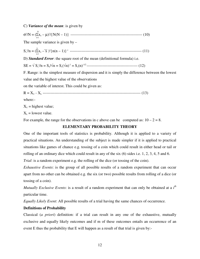C) *Variance of the mean*: is given by

 N σ 2 /N = (Σx<sup>i</sup>i – µ) 2 /{N(N – 1)} ------------------------------------------------------- (10) i=1 The sample variance is given by  $$  n Sx 2 /n = (Σx<sup>i</sup>i – x )2{n(n – 1)}-1 ------------------------------------------------------- (11) i=1 D) *Standard Error*: the square root of the mean (definitional formula) i.e. SE = √ S<sup>x</sup> 2 /n = Sx/√n = Sx(√n)-1 = Sx(n)-1/2 --------------------------------------- (12) F. Range: is the simplest measure of dispersion and it is simply the difference between the lowest value and the highest value of the observations on the variable of interest. This could be given as: R = XU - XL --------------------------------------------------------------------------- (13) where:-  $X_U$  = highest value;  $X_L$  = lowest value. For example, the range for the observations in c above can be computed as:  $10 - 2 = 8$ .

# **ELEMENTARY PROBABILITY THEORY**

One of the important tools of statistics is probability. Although it is applied to a variety of practical situations. An understanding of the subject is made simpler if it is applied to practical situations like games of chance e.g. tossing of a coin which could result in either head or tail or rolling of an ordinary dice which could result in any of the six (6) sides i.e. 1, 2, 3, 4, 5 and 6.

*Trial*: is a random experiment e.g. the rolling of the dice (or tossing of the coin).

*Exhaustive Events*: is the group of all possible results of a random experiment that can occur apart from no other can be obtained e.g. the six (or two) possible results from rolling of a dice (or tossing of a coin).

*Mutually Exclusive Events*: is a result of a random experiment that can only be obtained at a *i th* particular time.

*Equally Likely Event*: All possible results of a trial having the same chances of occurrence.

# **Definitions of Probability**

Classical (*a priori*) definition: if a trial can result in any one of the exhaustive, mutually exclusive and equally likely outcomes and if m of these outcomes entails an occurrence of an event E thus the probability that E will happen as a result of that trial is given by:-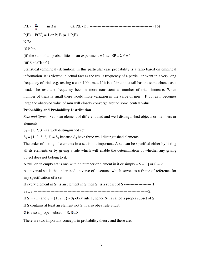P(E) = m ≤ n 0≤ P(E) ≤ 1 ------------------------------------------------ (16)  $P(E) + P(E^1) = 1$  or  $P(E^1) = 1 - P(E)$ N.B: (i)  $P \geq 0$ (ii) the sum of all probabilities in an experiment = 1 i.e.  $EP = \Sigma P = 1$ (iii)  $0 \leq P(E) \leq 1$ 

Statistical (empirical) definition: in this particular case probability is a ratio based on empirical information. It is viewed in actual fact as the result frequency of a particular event in a very long frequency of trials e.g. tossing a coin 100 times. If it is a fair coin, a tail has the same chance as a head. The resultant frequency become more consistent as number of trials increase. When number of trials is small there would more variation in the value of  $m/n = P$  but as n becomes large the observed value of m/n will closely converge around some central value.

# **Probability and Probability Distribution**

*Sets and Space*: Set is an element of differentiated and well distinguished objects or members or elements.

 $S_1 = [1, 2, 3]$  is a well distinguished set

 $S_2 = [1, 2, 3, 2, 3] = S_1$  because  $S_2$  have three well distinguished elements

The order of listing of elements in a set is not important. A set can be specified either by listing all its elements or by giving a rule which will enable the determination of whether any giving object does not belong to it.

A null or an empty set is one with no number or element in it or simply  $-S = [$  or  $S = \emptyset$ .

A universal set is the underlined universe of discourse which serves as a frame of reference for any specification of a set.

If every element in S1 is an element in S then S1 is a subset of S --------------------- 1;

S1 ⊆S ----------------------------------------------------------------------------------------2.

If  $S_1 = \{1\}$  and  $S = \{1, 2, 3\}$ :-  $S_1$  obey rule 1, hence  $S_1$  is called a proper subset of S.

If S contains at least an element not  $S_1$  it also obey rule  $S_1 \subseteq S$ .

 $\emptyset$  is also a proper subset of S,  $\emptyset \subseteq S$ .

There are two important concepts in probability theory and these are: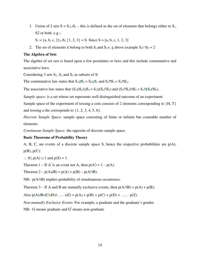1. Union of 2 sets  $S = S_1 \cup S_2$  – this is defined as the set of elements that belongs either to  $S_1$ , S2 or both. e.g.:-

 $S_1 = \{a, b, c, 2\} \cup S_2 \{1, 2, 3\} = S$ . Since  $S = [a, b, c, 1, 2, 3]$ 

2. The set of elements it belong to both S<sub>2</sub> and S<sub>2</sub> e. g above example S<sub>1</sub>∩S<sub>2</sub> = 2

#### **The Algebra of Sets**

The algebra of set sets is based upon a few postulates or laws and this include commutative and associative laws.

Considering 3 sets  $S_1$ ,  $S_2$  and  $S_3$  as subsets of S:

The commutative law states that  $S_1 \cup S_2 = S_2 \cup S_1$  and  $S_1 \cap S_2 = S_2 \cap S_3$ ;

The associative law states that  $(S_1 \cup S_2) \cup S_3 = S_1 \cup (S_2 \cap S_3)$  and  $(S_1 \cap S_2) \cap S_3 = S_1 \cap (S_2 \cap S_3)$ .

*Sample space*: is a set whose set represents well distinguished outcome of an experiment.

Sample space of the experiment of tossing a coin consists of 2 elements corresponding to  $\{H, T\}$ and tossing a die corresponds to  $\{1, 2, 3, 4, 5, 6\}.$ 

*Discrete Sample Space*: sample space consisting of finite or infinite but countable number of elements.

*Continuous Sample Space:* the opposite of discrete sample space.

# **Basic Theorems of Probability Theory**

A, B, C, are events of a discrete sample space S, hence the respective probabilities are  $p(A)$ ,  $p(B), p(C)$ :

 $\therefore$  0 $\leq$  p(A)  $\leq$  1 and p(S) = 1.

Theorem 1 – If A<sup> $\dagger$ </sup> is an event not A, then  $p(A^{\dagger}) = 1 - p(A)$ .

Theorem  $2 - p(A \cup B) = p(A) + p(B) - p(A \cap B)$ .

NB:-  $p(A \cap B)$  implies probability of simultaneous occurrence.

Theorem 3 – If A and B are mutually exclusive events, then  $p(A \cap B) = p(A) + p(B)$ ;

Also  $p(AUBUCUDU.....UZ) = p(A) + p(B) + p(C) + p(D) + ..... p(Z)$ .

*Non-mutually Exclusive Events*: For example, a graduate and the graduate's gender.

NB:- G means graduate and  $G^{l}$  means non-graduate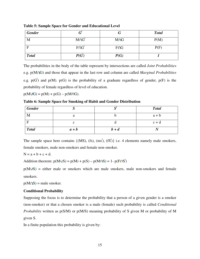| <b>Gender</b> |             |            | <b>Total</b> |
|---------------|-------------|------------|--------------|
| M             | $M \cap G1$ | <b>MnG</b> | P(M)         |
| F             | $F \cap G'$ | $F \cap G$ | P(F)         |
| <b>Total</b>  | P(G)        | P(G)       |              |

**Table 5: Sample Space for Gender and Educational Level**

The probabilities in the body of the table represent by intersections are called *Joint Probabilities* e.g. p(M G) and those that appear in the last row and column are called *Marginal Probabilities* e.g.  $p(G)$  and  $p(M)$ .  $p(G)$  is the probability of a graduate regardless of gender,  $p(F)$  is the probability of female regardless of level of education.

 $p(M \cup G) = p(M) + p(G) - p(M \cap G).$ 

**Table 6: Sample Space for Smoking of Habit and Gender Distribution**

| <b>Gender</b> |         |         | <b>Total</b> |
|---------------|---------|---------|--------------|
| M             |         |         | $a + b$      |
| $\mathbf{F}$  |         |         | $c + d$      |
| <b>Total</b>  | $a + b$ | $b + d$ |              |

The sample space here contains  $\{ (MS), (fs), (ms^{\dagger}), (fs^{\dagger}) \}$  i.e. 4 elements namely male smokers, female smokers, male non-smokers and female non-smoker.

 $N = a + b + c + d$ .

Addition theorem:  $p(MUS) = p(M) + p(S) - p(M \cap S) = 1 - p(F \cap S')$ |

 $p(MUS)$  = either male or smokers which are male smokers, male non-smokers and female smokers.

 $p(M \cap S)$  = male smoker.

# **Conditional Probability**

Supposing the focus is to determine the probability that a person of a given gender is a smoker (non-smoker) or that a chosen smoker is a male (female) such probability is called *Conditional Probability* written as  $p(S/M)$  or  $p(M/S)$  meaning probability of S given M or probability of M given S.

In a finite population this probability is given by: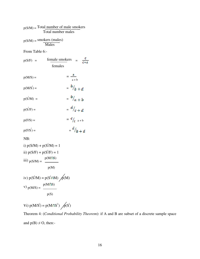$$
p(S/M) = Total number of male smokersTotal number males
$$

$$
p(S/M) = \frac{\text{smokes (males)}}{\text{Males}}
$$

From Table 6:-

$$
p(S/F) = \frac{\text{female smokers}}{\text{female}} = \frac{c}{c+a}
$$

$$
p(M/S) = \frac{a}{a+b}
$$

$$
p(M/S^{\dagger}) = \qquad \qquad = \frac{b}{b} + d
$$

$$
p(S^{\prime}/M) = \qquad \qquad = \frac{b}{a+b}
$$

$$
p(S'/F) = \frac{d}{c + d}
$$

$$
p(F/S) = \qquad \qquad = \frac{c}{\ell} \quad a + b
$$

$$
p(F/S') = \t\t\t = \t\t\t\t^d /_b + d
$$

NB:

i) 
$$
p(S/M) + p(S^{\dagger}/M) = 1
$$
  
\nii)  $p(S/F) + p(S^{\dagger}/F) = 1$   
\niii)  $p(S/M) = \frac{p(M \cap S)}{p(M)}$   
\niv)  $p(S^{\dagger}/M) = p(S^{\dagger} \cap M) \searrow p(M)$   
\nv)  $p(M/S) = \frac{p(M \cap S)}{N}$ 

$$
\mathrm{p}(\mathrm{S})
$$

$$
Vi) p(M/S^1) = p(M \cap S^1) \bigwedge p(S^1)
$$

Theorem 4: (*Conditional Probability Theorem*): if A and B are subset of a discrete sample space and  $p(B) \neq O$ , then:-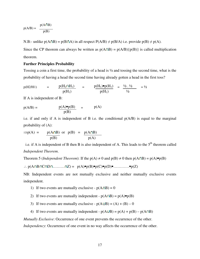$$
p(A/B) = \frac{p(A \cap B)}{p(B)}
$$

N.B:- unlike  $p(A \cap B) = p(B \cap A)$  in all respect  $P(A/B) \neq p(B/A)$  i.e. provide  $p(B) \neq p(A)$ .

Since the CP theorem can always be written as  $p(A \cap B) = p(A/B) \{p(B)\}\$ is called multiplication theorem.

#### **Further Principles Probability**

Tossing a coin a first time, the probability of a head is ½ and tossing the second time, what is the probability of having a head the second time having already gotten a head in the first toss?

$$
p(H2/H1)
$$
 =  $\frac{p(H_2 \cap H_1)}{p(H_1)}$  =  $\frac{p(H_1) \cdot p(H_1)}{p(H_1)}$  =  $\frac{1/2 \cdot 1/2}{1/2}$  = 1/2

If A is independent of B:

$$
p(A/B) = \frac{p(A)\bullet p(B)}{p(B)} = p(A)
$$

i.e. if and only if A is independent of B i.e. the conditional  $p(A/B)$  is equal to the marginal probability of (A):

$$
\Rightarrow p(A) = p(A \cap B)
$$
 or  $p(B) = p(A \cap B)$   
 $p(B)$ 

i.e. if A is independent of B then B is also independent of A. This leads to the  $5<sup>th</sup>$  theorem called *Independent Theorem*.

Theorem 5 (*Independent Theorem*): If the  $p(A) \neq 0$  and  $p(B) \neq 0$  then  $p(A \cap B) = p(A) \cdot p(B)$ 

∴  $p(A \cap B \cap C \cap D \cap ... \cap Z) = p(A) \cdot p(B) \cdot p(C) \cdot p(D) \cdot ... \cdot ... \cdot p(Z)$ 

NB: Independent events are not mutually exclusive and neither mutually exclusive events independent.

- 1) If two events are mutually exclusive  $p(A \cap B) = 0$
- 2) If two events are mutually independent  $p(A \cap B) = p(A) \cdot p(B)$
- 3) If two events are mutually exclusive  $p(A \cup B) = (A) + (B) 0$
- 4) If two events are mutually independent  $p(A \cup B) = p(A) + p(B) p(A \cap B)$

*Mutually Exclusive*: Occurrence of one event prevents the occurrence of the other.

*Independency*: Occurrence of one event in no way affects the occurrence of the other.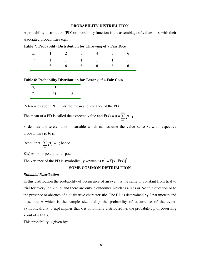#### **PROBABILITY DISTRIBUTION**

A probability distribution (PD) or probability function is the assemblage of values of  $x_i$  with their associated probabilities e.g.:

|  |  | $X_i$ 1 2 3 4 5 6                                                  |  |
|--|--|--------------------------------------------------------------------|--|
|  |  | P 1 1 1 1 1 1 1<br>$\begin{matrix} 6 & 6 & 6 & 6 & 6 \end{matrix}$ |  |

**Table 7: Probability Distribution for Throwing of a Fair Dice** 

**Table 8: Probability Distribution for Tossing of a Fair Coin** 

| $\mathbf{X}_{i}$ | H             |               |
|------------------|---------------|---------------|
| P                | $\frac{1}{2}$ | $\frac{1}{2}$ |

References about PD imply the mean and variance of the PD.

The mean of a PD is called the expected value and  $E(x) = \mu = \sum_{i=1}^{n} p_i x_i$  $\sum_{l=1}^n p$ <sub>i</sub> .

 $x_i$  denotes a discrete random variable which can assume the value  $x_1$  to  $x_n$  with respective probabilities  $p_1$  to  $p_n$ 

Recall that  $\sum_{ }^{n}$ = *n*  $\sum_{l=1}$   $p$ <sub>*i*</sub>  $= 1$ ; hence

 $\Sigma(x) = p_1x_1 + p_2x_2 + \ldots + p_nx_n$ 

The variance of the PD is symbolically written as  $\sigma^2 = \Sigma [x - E(x)]^2$ 

# **SOME COMMON DISTRIBUTION**

#### *Binomial Distribution*

In this distribution the probability of occurrence of an event is the same or constant from trial to trial for every individual and there are only 2 outcomes which is a Yes or No to a question or to the presence or absence of a qualitative characteristic. The BD is determined by 2 parameters and these are *n* which is the sample size and  $p$  the probability of occurrence of the event. Symbolically, x: b(n,p) implies that x is binomially distributed i.e. the probability *p* of observing  $x_i$  out of *n* trials.

This probability is given by: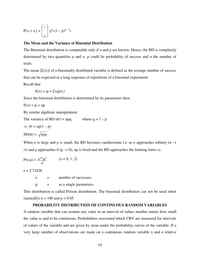$$
P(x = x_i) = \begin{pmatrix} n \\ x_i \end{pmatrix} p^{x_i} (1 - p)^{n - x_i}
$$

# **The Mean and the Variance of Binomial Distribution**

The Binomial distribution is computable only if *n* and *p* are known. Hence, the BD is completely determined by two quantities *p* and *n*. *p* could be probability of success and *n* the number of trials.

The mean  $[\Sigma(x)]$  of a binomially distributed variable is defined as the average number of success that can be expected in a long sequence of repetitions of a binomial experiment.

Recall that:

 $E(x) = \mu = \sum x_i p(x_i)$ 

Since the binomial distribution is determined by its parameters then:

$$
E(x) = \mu = np
$$

By similar algebraic manipulation:

The variance of BD ( $\sigma^2$ ) = npq where  $q = 1 - p$ 

$$
\Rightarrow \sigma^2 = np(1 - p)
$$

$$
SD(\sigma) = \sqrt{npq}
$$

When *n* is large and *p* is small, the BD becomes cumbersome i.e. as *n* approaches infinity (n  $\rightarrow$  $\infty$ ) and p approaches 0 (p  $\rightarrow$  0), np is fixed and the BD approaches the limiting form i.e.

$$
P(x:\mu) = \frac{e^{-\mu}\mu^{x}}{x!} \qquad (x = 0, 1, 2)
$$

 $e = 2.71828$ 

 $x =$  number of successes;

 $\mu$  = as a single parameters.

This distribution is called Poison distribution. The binomial distribution can not be used when (naturally)  $n > 100$  and  $p < 0.05$ .

#### **PROBABILITY DISTRIBUTION OF CONTINUOUS RANDOM VARIABLES**

A random variable that can assume any value in an interval of values number matter how small the value is said to be continuous. Probabilities associated which CRV are measured for intervals of values of the variable and are given by areas under the probability curves of the variable. If a very large number of observations are made on a continuous random variable x and a relative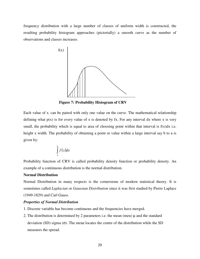frequency distribution with a large number of classes of uniform width is constructed, the resulting probability histogram approaches (pictorially) a smooth curve as the number of observations and classes increases.



 **Figure 7: Probability Histogram of CRV** 

Each value of  $x<sub>x</sub>$  can be paired with only one value on the curve. The mathematical relationship defining what  $p(x)$  is for every value of x is denoted by fx. For any interval dx where x is very small, the probability which is equal to area of choosing point within that interval is  $f(x)dx$  i.e. height x width. The probability of obtaining a point or value within a large interval say b to a is given by:

$$
\int_a^b f(x)dx
$$

Probability function of CRV is called probability density function or probability density. An example of a continuous distribution is the normal distribution.

# **Normal Distribution**

Normal Distribution in many respects is the cornerstone of modern statistical theory. It is sometimes called *Laplacian* or *Gaussian Distribution* since it was first studied by Pierre Laplace (1949-1829) and Carl Gauss.

#### *Properties of Normal Distribution*

- 1. Discrete variable has become continuous and the frequencies have merged.
- 2. The distribution is determined by 2 parameters i.e. the mean (meu)  $\mu$  and the standard deviation (SD) sigma (σ). The mean locates the centre of the distribution while the SD measures the spread.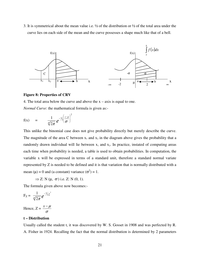3. It is symmetrical about the mean value i.e. ½ of the distribution or ½ of the total area under the curve lies on each side of the mean and the curve possesses a shape much like that of a bell.



#### **Figure 8: Properties of CRV**

4. The total area below the curve and above the  $x - axis$  is equal to one.

*Normal Curve*: the mathematical formula is given as:-

$$
f(x) = \frac{1}{\sqrt[n]{2\pi}} e^{-\frac{1}{2} \left( \frac{x-\mu}{\sigma} \right)^2}
$$

This unlike the binomial case does not give probability directly but merely describe the curve. The magnitude of the area C between  $x_1$  and  $x_2$  in the diagram above gives the probability that a randomly drawn individual will lie between  $x_1$  and  $x_2$ . In practice, instated of computing areas each time when probability is needed, a table is used to obtain probabilities. In computation, the variable x will be expressed in terms of a standard unit, therefore a standard normal variate represented by Z is needed to be defined and it is that variation that is normally distributed with a mean ( $\mu$ ) = 0 and (a constant) variance ( $\sigma^2$ ) = 1.

 $\Rightarrow$  Z: N ( $\mu$ ,  $\sigma$ <sup>2</sup>) i.e. Z: N (0, 1).

The formula given above now becomes:-

$$
F_Z = \frac{1}{\sqrt{2\pi}} e^{-\frac{1}{2}z}
$$

Hence,  $Z = \frac{x}{\sigma}$  $x - \mu$ 

#### **t – Distribution**

Usually called the student t, it was discovered by W. S. Gosset in 1908 and was perfected by R. A. Fisher in 1924. Recalling the fact that the normal distribution is determined by 2 parameters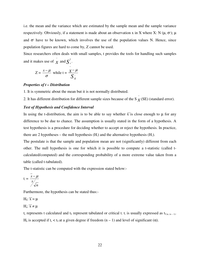i.e. the mean and the variance which are estimated by the sample mean and the sample variance respectively. Obviously, if a statement is made about an observation x in X where X: N ( $\mu$ ,  $\sigma$ <sup>2</sup>);  $\mu$ and  $\sigma^2$  have to be known, which involves the use of the population values N. Hence, since population figures are hard to come by, Z cannot be used.

Since researchers often deals with small samples, t provides the tools for handling such samples and it makes use of  $\overline{\mathbf{x}}$  and  $\overline{\mathbf{S}}_x^2$ .

$$
Z = \frac{x - \mu}{\sigma} \text{ while } t = \frac{x - \mu}{S_x}
$$

#### *Properties of t – Distribution*

1. It is symmetric about the mean but it is not normally distributed.

−

2. It has different distribution for different sample sizes because of the S  $\bar{x}$ (SE) (standard error).

#### *Test of Hypothesis and Confidence Interval*

In using the t-distribution, the aim is to be able to say whether  $\overline{x}$  is close enough to  $\mu$  for any difference to be due to chance. The assumption is usually stated in the form of a hypothesis. A test hypothesis is a procedure for deciding whether to accept or reject the hypothesis. In practice, there are 2 hypotheses – the null hypothesis  $(H_0)$  and the alternative hypothesis  $(H_0)$ .

The postulate is that the sample and population mean are not (significantly) different from each other. The null hypothesis is one for which it is possible to compute a t-statistic (called tcalculated/computed) and the corresponding probability of a more extreme value taken from a table (called t-tabulated).

The t-statistic can be computed with the expression stated below:-

$$
t_{c} = \frac{x - \mu}{\frac{s}{\sqrt{n}}}
$$

Furthermore, the hypothesis can be stated thus:-

 $H_0: \overline{x} = \mu$  $H_a: \overline{x} \neq \mu$ 

 $t_c$  represents t calculated and  $t_T$  represent tabulated or critical t.  $t_T$  is usually expressed as  $t_{T,\alpha,(n-1)}$ . H<sub>0</sub> is accepted if t<sub>c</sub> < t<sub>T</sub> at a given degree if freedom  $(n - 1)$  and level of significant  $(\alpha)$ .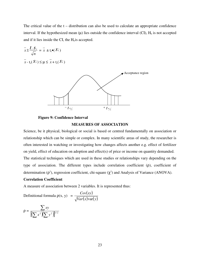The critical value of the  $t -$  distribution can also be used to calculate an appropriate confidence interval. If the hypothesized mean  $(\mu)$  lies outside the confidence interval (CI),  $H_0$  is not accepted and if it lies inside the CI, the  $H<sub>0</sub>$  is accepted.

$$
\overline{x} \pm \frac{t_c S_x}{\sqrt{n}} = \overline{x} \pm t_c \bullet (S_{\overline{x}})
$$
\n
$$
\overline{x} \cdot t_c (S_{\overline{x}}) \le \mu \le \overline{x} + t_c (S_{\overline{x}})
$$
\nAcceptance region\n
$$
-t_{\alpha/2} \qquad + t_{\alpha/2}
$$

### **Figure 9: Confidence Interval**

#### **MEASURES OF ASSOCIATION**

Science, be it physical, biological or social is based or centred fundamentally on association or relationship which can be simple or complex. In many scientific areas of study, the researcher is often interested in watching or investigating how changes affects another e.g. effect of fertilizer on yield, effect of education on adoption and effect(s) of price or income on quantity demanded. The statistical techniques which are used in these studies or relationships vary depending on the type of association. The different types include correlation coefficient (ρ), coefficient of determination ( $\rho^2$ ), regression coefficient, chi-square ( $\chi^2$ ) and Analysis of Variance (ANOVA).

#### **Correlation Coefficient**

A measure of association between 2 variables. It is represented thus:

Definitional formula 
$$
\rho(x, y) = \frac{Cov(xy)}{\sqrt{Var(x)var(y)}}
$$

$$
\rho = \frac{\sum xy}{\left[\left(\sum x^2\right)\left(\sum y^2\right)\right]^{1/2}}
$$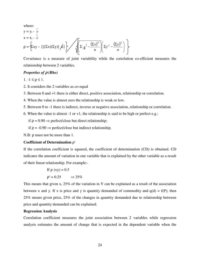where:  
\n
$$
y = y_i - \frac{y}{y}
$$
  
\n $x = x_i - \frac{y}{x}$   
\n $\rho = \left\{ \sum xy - \left\{ \left[ (\sum x)(\sum y) \right] \right/ \left( \sum y_i^2 - \frac{(\sum x)^2}{n} \right) \left( \sum y_i^2 - \frac{(\sum y)^2}{n} \right) \right\} \right\}$ 

Covariance is a measure of joint variability while the correlation co-efficient measures the relationship between 2 variables.

# *Properties of* ρ *(Rho)*

1. -1 ≤ ρ ≤ 1.

2. It considers the 2 variables as co-equal

3. Between 0 and +1 there is either direct, positive association, relationship or correlation.

4. When the value is almost zero the relationship is weak or low.

5. Between 0 to -1 there is indirect, inverse or negative association, relationship or correlation.

6. When the value is almost -1 or +1, the relationship is said to be high or perfect e.g.:

if  $\rho = 0.90 \Rightarrow$  perfect/close but direct relationship;

if ρ = -0.90 ⇒ perfect/close but indirect relationship.

N.B: ρ must not be more than 1.

#### **Coefficient of Determination** ρ 2

If the correlation coefficient is squared, the coefficient of determination (CD) is obtained. CD indicates the amount of variation in one variable that is explained by the other variable as a result of their linear relationship. For example:-

If 
$$
\rho (xy) = 0.5
$$
  
 $\rho^2 = 0.25 \implies 25\%$ 

This means that given x, 25% of the variation in Y can be explained as a result of the association between x and y. If x is price and y is quantity demanded of commodity and  $q(d) = f(P)$ ; then 25% means given price, 25% of the changes in quantity demanded due to relationship between price and quantity demanded can be explained.

# **Regression Analysis**

Correlation coefficient measures the joint association between 2 variables while regression analysis estimates the amount of change that is expected in the dependent variable when the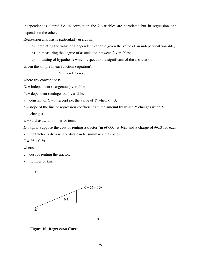independent is altered i.e. in correlation the 2 variables are correlated but in regression one depends on the other.

Regression analysis is particularly useful in:

- a) predicting the value of a dependent variable given the value of an independent variable;
- b) in measuring the degree of association between 2 variables;
- c) in testing of hypothesis which respect to the significant of the association.

Given the simple linear function (equation):

$$
Y_i = a + bXi + e_i
$$

where (by convention):-

 $X_i$  = independent (exogenous) variable;

 $Y_i$  = dependent (endogenous) variable;

- a = constant or Y intercept i.e. the value of Y when  $x = 0$ ;
- $b = slope of the line or regression coefficient i.e. the amount by which Y changes when X$ changes.

 $e_i$  = stochastic/random error term.

*Example*: Suppose the cost of renting a tractor (in  $\frac{N}{000}$ ) is  $\frac{N}{25}$  and a charge of  $\frac{N}{0.3}$  for each km the tractor is driven. The data can be summarised as below.

 $C = 25 + 0.3x$ 

where:

 $c = \text{cost of reting the tractor};$ 

 $x =$  number of km.



 **Figure 10: Regression Curve**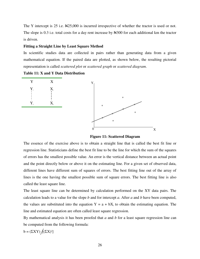The Y intercept is 25 i.e.  $\text{\textcircled{H}}25,000$  is incurred irrespective of whether the tractor is used or not. The slope is 0.3 i.e. total costs for a day rent increase by  $\angle 4300$  for each additional km the tractor is driven.

#### **Fitting a Straight Line by Least Square Method**

In scientific studies data are collected in pairs rather than generating data from a given mathematical equation. If the paired data are plotted, as shown below, the resulting pictorial representation is called *scattered plot* or *scattered graph* or *scattered diagram*.

**Table 11: X and Y Data Distribution** 



**Figure 11: Scattered Diagram** 

The essence of the exercise above is to obtain a straight line that is called the best fit line or regression line. Statisticians define the best fit line to be the line for which the sum of the squares of errors has the smallest possible value. An error is the vertical distance between an actual point and the point directly below or above it on the estimating line. For a given set of observed data, different lines have different sum of squares of errors. The best fitting line out of the array of lines is the one having the smallest possible sum of square errors. The best fitting line is also called the least square line.

The least square line can be determined by calculation performed on the XY data pairs. The calculation leads to a value for the slope *b* and for intercept *a*. After *a* and *b* have been computed, the values are substituted into the equation  $Y = a + bX_i$  to obtain the estimating equation. The line and estimated equation are often called least square regression.

By mathematical analysis it has been proofed that *a* and *b* for a least square regression line can be computed from the following formula:

$$
b = (\Sigma XY) / [(\Sigma X)^2]
$$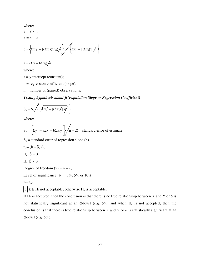where:  
\n
$$
y = y_i - \frac{1}{y}
$$
  
\n $x = x_i - \frac{1}{x}$   
\n $b = \left\{ x_i y_i - [(\Sigma x_i)(\Sigma y_i) \hat{A}] \right\} / \left\{ \Sigma x_i^2 - [(\Sigma x_i)^2] \hat{A} \right\}$ 

$$
a = (\Sigma y_i - b\Sigma x_i)/n
$$

where:

 $a = y$  intercept (constant);

 $b = regression coefficient (slope);$ 

n = number of (paired) observations.

# *Testing hypothesis about* β *(Population Slope or Regression Coefficient)*

$$
S_b = S_e \left\langle \left\{ \sqrt{\sum x_a^2 - \left[ (\sum x_a)^2 \right] \eta'} \right\} \right\}
$$

where:

$$
S_e = \left\{ \Sigma y_i^2 - a\Sigma y_i - b\Sigma x_i y_i \right\} / (n-2) = standard error of estimate;
$$

 $S_b$  = standard error of regression slope (b).

$$
t_c = (b - \beta) S_b
$$

H<sub>o</sub>:  $β = 0$ 

H<sub>a</sub>:  $β \neq 0$ .

Degree of freedom  $(v) = n - 2$ ;

Level of significance  $(\alpha) = 1\%$ , 5% or 10%.

 $t_T = t_{\alpha/2, v}$ 

 $|t_c| \ge t_T H_0$  not acceptable; otherwise  $H_a$  is acceptable.

If  $H_0$  is accepted, then the conclusion is that there is no true relationship between X and Y or *b* is not statistically significant at an α-level (e.g. 5%) and when  $H_0$  is not accepted, then the conclusion is that there is true relationship between X and Y or *b* is statistically significant at an α-level (e.g. 5%).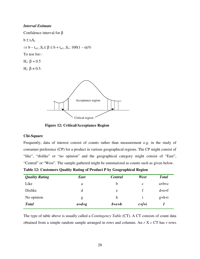## *Interval Estimate*

Confidence interval for β

 $b \pm t_{\rm T}S_{\rm b}$ 

 $\Rightarrow$  b – t<sub>α/2, v</sub>S<sub>b</sub>  $\leq \beta \leq$  b + t<sub>α/2, v</sub>S<sub>b</sub>; 100(1 – α)%

To test for:-

H<sub>o</sub>: β = 0.5

H<sub>a</sub>:  $\beta \neq 0.5$ .



 **Figure 12: Critical/Acceptance Region** 

# **Chi-Square**

Frequently, data of interest consist of counts rather than measurement e.g. in the study of consumer preference (CP) for a product in various geographical regions. The CP might consist of "like", "dislike" or "no opinion" and the geographical category might consist of "East", "Central" or "West". The sample gathered might be summarized as counts such as given below.

**Table 12: Customers Quality Rating of Product P by Geographical Region** 

| <b>Quality Rating</b> | <b>East</b> | <b>Central</b> | West        | <b>Total</b> |
|-----------------------|-------------|----------------|-------------|--------------|
| Like                  | a           | b              | $\mathbf c$ | $a+b+c$      |
| Dislike               | d           | e              |             | $d+e+f$      |
| No opinion            | g           | h              |             | $g+h+i$      |
| <b>Total</b>          | $a+d+g$     | $b + e + h$    | $c + f + i$ |              |

The type of table above is usually called a *Contingency Table* (CT). A CT consists of count data obtained from a simple random sample arranged in rows and columns. An *r* X *c* CT has *r* rows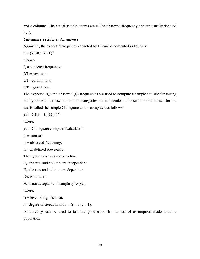and *c* columns. The actual sample counts are called observed frequency and are usually denoted by  $f_{o}$ .

# *Chi-square Test for Independence*

Against  $f_0$ , the expected frequency (denoted by  $f_e$ ) can be computed as follows:

 $f_e = (RT \bullet CT)(GT)^{-1}$ 

where:-

 $f_e$  = expected frequency;

 $RT = row total;$ 

CT =column total;

 $GT = \text{grand total.}$ 

The expected  $(f_e)$  and observed  $(f_o)$  frequencies are used to compute a sample statistic for testing the hypothesis that row and column categories are independent. The statistic that is used for the test is called the sample Chi-square and is computed as follows:

$$
\chi_c^2 = \sum \{ (f_o - f_e)^2 \} \{ (f_e)^{-1} \}
$$

where:-

 $\chi_c^2$  = Chi-square computed/calculated;

 $\Sigma$  = sum of;

 $f_0$  = observed frequency;

```
f_e = as defined previously.
```
The hypothesis is as stated below:

 $H<sub>o</sub>$ : the row and column are independent

 $H_a$ : the row and column are dependent

Decision rule:-

H<sub>o</sub> is not acceptable if sample  $\chi_c^2 > \chi^2_{\alpha, r}$ 

where:

 $\alpha$  = level of significance;

 $r = degree of freedom and r = (r - 1)(c - 1).$ 

At times  $\chi^2$  can be used to test the goodness-of-fit i.e. test of assumption made about a population.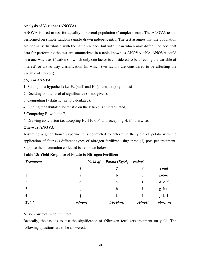### **Analysis of Variance (ANOVA)**

ANOVA is used to test for equality of several population (/sample) means. The ANOVA test is performed on simple random sample drawn independently. The test assumes that the population are normally distributed with the same variance but with mean which may differ. The pertinent data for performing the test are summarized in a table known as ANOVA table. ANOVA could be a one-way classification (in which only one factor is considered to be affecting the variable of interest) or a two-way classification (in which two factors are considered to be affecting the variable of interest).

# *Steps in ANOVA*

- 1. Setting up a hypothesis i.e.  $H_0$  (null) and  $H_a$  (alternative) hypothesis.
- 2. Deciding on the level of significance (if not given).
- 3. Computing F-statistic (i.e. F calculated).
- 4. Finding the tabulated F-statistic on the F table (i.e. F tabulated).
- 5 Comparing  $F_T$  with the  $F_c$ .
- 6. Drawing conclusion i.e. accepting  $H_0$  if  $F_c < F_T$  and accepting  $H_a$  if otherwise.

# **One-way ANOVA**

Assuming a green house experiment is conducted to determine the yield of potato with the application of four (4) different types of nitrogen fertilizer using three (3) pots per treatment. Suppose the information collected is as shown below.

| <b>Treatment</b> |           | Potato $(Kg/N2)$<br>Yield of | ration)              |                |
|------------------|-----------|------------------------------|----------------------|----------------|
|                  |           | 2                            | $\boldsymbol{\beta}$ | <b>Total</b>   |
|                  | a         | b                            | $\mathbf c$          | $a+b+c$        |
| $\overline{2}$   | d         | e                            | f                    | $d+e+f$        |
| 3                | g         | h                            |                      | $g+h+i$        |
| 4                |           | k                            |                      | $j+k+1$        |
| <b>Total</b>     | $a+d+g+j$ | $b + e + h + k$              | $c+f+i+l$            | $a+b+\ldots+l$ |

N.B:- Row total = column total.

Basically, the task is to test the significance of (Nitrogen fertilizer) treatment on yield. The following questions are to be answered: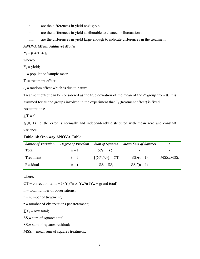- i. are the differences in yield negligible;
- ii. are the differences in yield attributable to chance or fluctuations;
- iii. are the differences in yield large enough to indicate differences in the treatment.

# *ANOVA (Mean Additive) Model*

 $Y_i = \mu + T_i + \varepsilon_i$ 

where:-

 $Y_i$  = yield;

 $\mu$  = population/sample mean;

 $T_i$  = treatment effect;

 $\varepsilon$ <sub>i</sub> = random effect which is due to nature.

Treatment effect can be considered as the true deviation of the mean of the  $i<sup>th</sup>$  group from  $\mu$ . It is assumed for all the groups involved in the experiment that  $T_i$  (treatment effect) is fixed.

Assumptions:

 $\sum T_i = 0;$ 

 $\varepsilon_i$  (0, 1) i.e. the error is normally and independently distributed with mean zero and constant variance.

**Table 14: One-way ANOVA Table** 

| <b>Source of Variation</b> | <b>Degree of Freedom</b> | <b>Sum of Squares</b>   | <b>Mean Sum of Squares</b> |               |
|----------------------------|--------------------------|-------------------------|----------------------------|---------------|
| Total                      | $n-1$                    | $\sum Y_i^2 - CT$       | $\overline{\phantom{a}}$   |               |
| Treatment                  | $t-1$                    | ${(\sum Y_i)^2/r} - CT$ | $SS_{1}/(t-1)$             | $MSS_t/MSS_r$ |
| Residual                   | $n - t$                  | $SS_{t} - SS_{r}$       | $SS_r/(n-1)$               |               |

where:

CT = correction term =  $(\sum Y_i)^2/n$  or  $Y_{\bullet}$ <sup>2</sup>/n (Y<sub>\*</sub> = grand total)

n = total number of observations;

 $t =$  number of treatment;

r = number of observations per treatment;

 $\sum Y_i$  = row total;

 $SS_t = sum of squares total;$ 

 $SS_r$ = sum of squares residual;

 $MSS_t$  = mean sum of squares treatment;